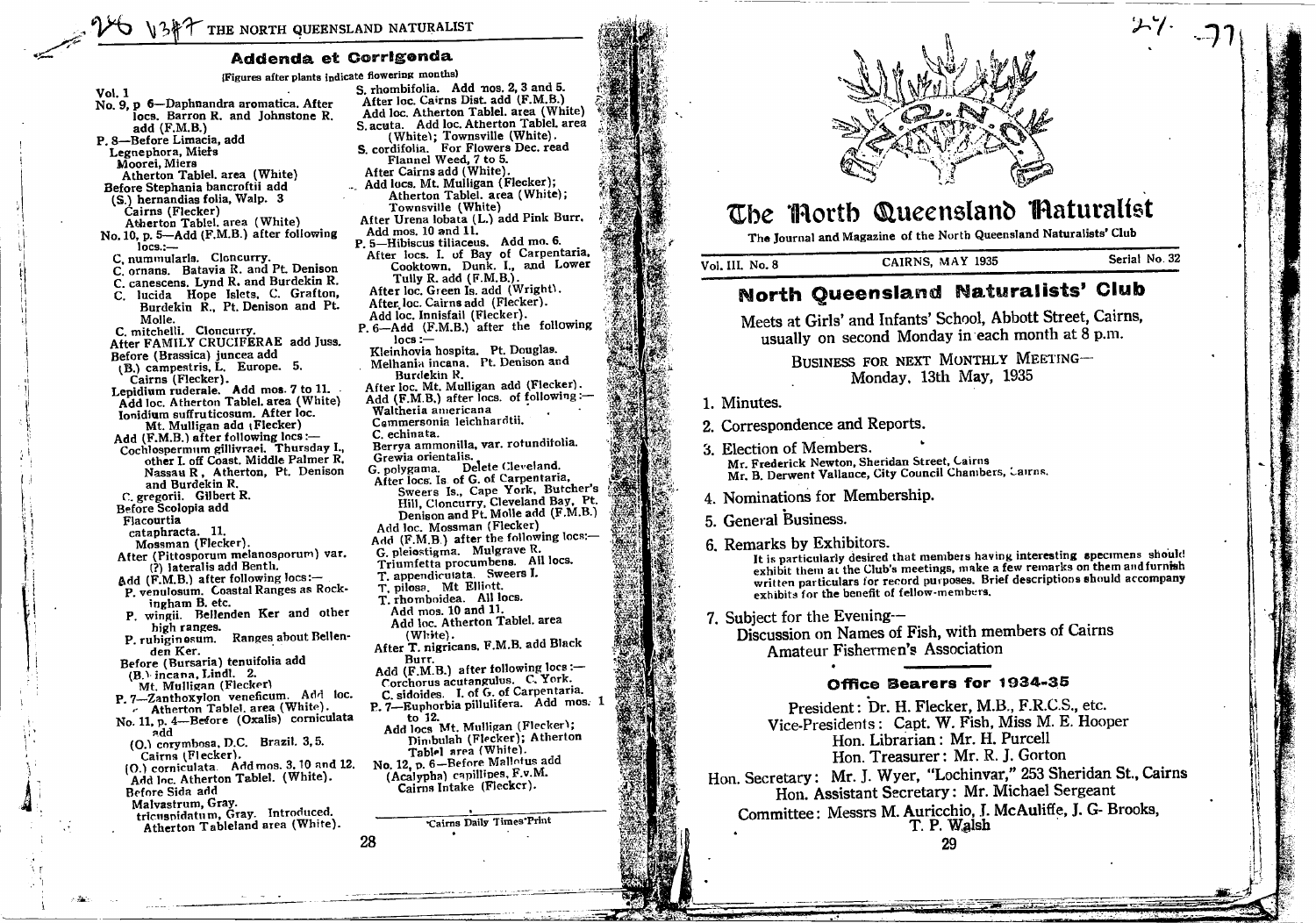### Addenda et Corrigonda

(Figures after plants indicate flowering months) **Vol. 1** No. 9,  $p$  6-Daphnandra aromatica. After locs. Barron R. and Johnstone R. add (F.M.B.) P. 8-Before Limacia, add Legnephora, Miers Moorei, Miers Atherton Tablel, area (White) Before Stephania bancroftii add (S.) hernandias folia, Walp. 3 Cairns (Flecker) Atherton Tablel, area (White) No. 10, p. 5-Add (F.M.B.) after following  $locs. -$ C. nummularla. Cloncurry. C. ornans. Batavia R. and Pt. Denison C. canescens. Lynd R. and Burdekin R. lucida Hope Islets, C. Grafton, Burdekin R., Pt. Denison and Pt. Molle. C. mitchelli. Cloncurry.<br>After FAMILY CRUCIFERAE add Juss. Before (Brassica) juncea add (B.) campestris, L. Europe. 5. Cairns (Flecker). Lepidium ruderale. Add mos. 7 to 11. Add loc. Atherton Tablel. area (White) Ionidium suffruticosum. After loc. Mt. Mulligan add (Flecker) C. echinata. Add (F.M.B.) after following locs :-Cochlospermum gillivraei. Thursday I., other I. off Coast. Middle Palmer R. Nassau R, Atherton, Pt. Denison and Burdekin R. C. gregorii. Gilbert R. Before Scolopia add Flacourtia cataphracta. 11. Mossman (Flecker). After (Pittosporum melanosporum) var. (?) lateralis add Benth. Add (F.M.B.) after following locs:-P. venulosum. Coastal Ranges as Rockingham B. etc. P. wingii. Bellenden Ker and other high ranges. P. rubiginesum. Ranges about Bellenden Ker. Before (Bursaria) tenuifolia add (B.) incana, Lindl. 2. Mt. Mulligan (Flecker) P. 7-Zanthoxylon veneficum. Add loc. The Atherton Tablel, area (White).<br>No. 11, p. 4—Before (Oxalis) corniculata add  $(0.1$  corymbosa, D.C. Brazil. 3.5. Cairns (Flecker). [O.) corniculata. Add mos. 3, 10 and 12. Add loc. Atherton Tablel. (White). Before Sida add Malvastrum, Gray. tricusnidatum, Gray. Introduced. Atherton Tableland area (White). 28

S. rhombifolia. Add nos. 2, 3 and 5. After loc. Cairns Dist. add (F.M.B.) Add loc. Atherton Tablel. area (White) S. acuta. Add loc. Atherton Tablel. area S. acua. The Control Control of the Control of the Control Control Control Control Control Control Control Control Control Control Control Control Control Control Control Control Control Control Control Control Control Con Add locs. Mt. Mulligan (Flecker); Atherton Tablel. area (White); Townsville (White) After Urena lobata (L.) add Pink Burr. Add mos. 10 and 11. P. 5-Hibiscus tiliaceus. Add mo. 6. After locs. I. of Bay of Carpentaria, Cooktown, Dunk. I., and Lower Tully R. add (F.M.B.). After loc. Green Is. add (Wright). After loc. Cairns add (Flecker). Add loc. Innisfail (Flecker). P. 6-Add (F.M.B.) after the following  $locs :=$ Kleinhovia hospita. Pt. Douglas. Melhania incana. Pt. Denison and Burdekin R. After loc. Mt. Mulligan add (Flecker). Add (F.M.B.) after locs. of following :-Waltheria americana Cemmersonia leichhardtii. Berrya ammonilla, var. rotundifolia. Grewia orientalis. G. polygama. Delete Cleveland. After locs. Is of G. of Carpentaria, Sweers Is., Cape York, Butcher's Hill, Cloncurry, Cleveland Bay, Pt. Denison and Pt. Molle add (F.M.B.) Add loc. Mossman (Flecker) Add (F.M.B.) after the following locs:-G. pleiostigma. Mulgrave R. Triumfetta procumbens. All locs. T. appendiculata. Sweers I. T. pilosa. Mt Elliott. T. rhomboidea. All locs. Add mos. 10 and 11. Add loc. Atherton Tablel. area  $(White)$ . After T. nigricans, F.M.B. add Black Burr. Add  $(F.M.B.)$  after following locs :-Corchorus acutangulus. C. York. C. sidoides. I. of G. of Carpentaria. P. 7-Euphorbia pillulifera. Add mos. 1 to 12. Add locs Mt. Mulligan (Flecker); Dimbulah (Flecker); Atherton Tablel area (White). No. 12, p. 6-Before Mallotus add (Acalypha) capillipes, F.v.M. Cairns Intake (Fleckcr). Cairns Daily Times Print



# The Morth Queensland Maturalist

The Journal and Magazine of the North Queensland Naturalists' Club CAIRNS, MAY 1935

Vol. III. No. 8

Serial No. 32

 $\sim$  1

## **North Queensland Naturalists' Club**

Meets at Girls' and Infants' School, Abbott Street, Cairns, usually on second Monday in each month at 8 p.m.

> BUSINESS FOR NEXT MONTHLY MEETING-Monday, 13th May, 1935

- 1. Minutes.
- 2. Correspondence and Reports.
- 3. Election of Members. Mr. Frederick Newton, Sheridan Street, Cairns Mr. B. Derwent Vallance, City Council Chambers, Carrns.
- 4. Nominations for Membership.
- 5. General Business.
- 6. Remarks by Exhibitors.

It is particularly desired that members having interesting specimens should exhibit them at the Club's meetings, make a few remarks on them and furnish written particulars for record purposes. Brief descriptions should accompany exhibits for the benefit of fellow-members.

7. Subject for the Evening--

Discussion on Names of Fish, with members of Cairns Amateur Fishermen's Association

### Office Bearers for 1934-35

President: Dr. H. Flecker, M.B., F.R.C.S., etc. Vice-Presidents: Capt. W. Fish. Miss M. E. Hooper Hon. Librarian: Mr. H. Purcell Hon. Treasurer: Mr. R. J. Gorton Hon. Secretary: Mr. J. Wyer, "Lochinvar," 253 Sheridan St., Cairns Hon. Assistant Secretary: Mr. Michael Sergeant Committee: Messrs M. Auricchio, J. McAuliffe, J. G- Brooks. T. P. Walsh

29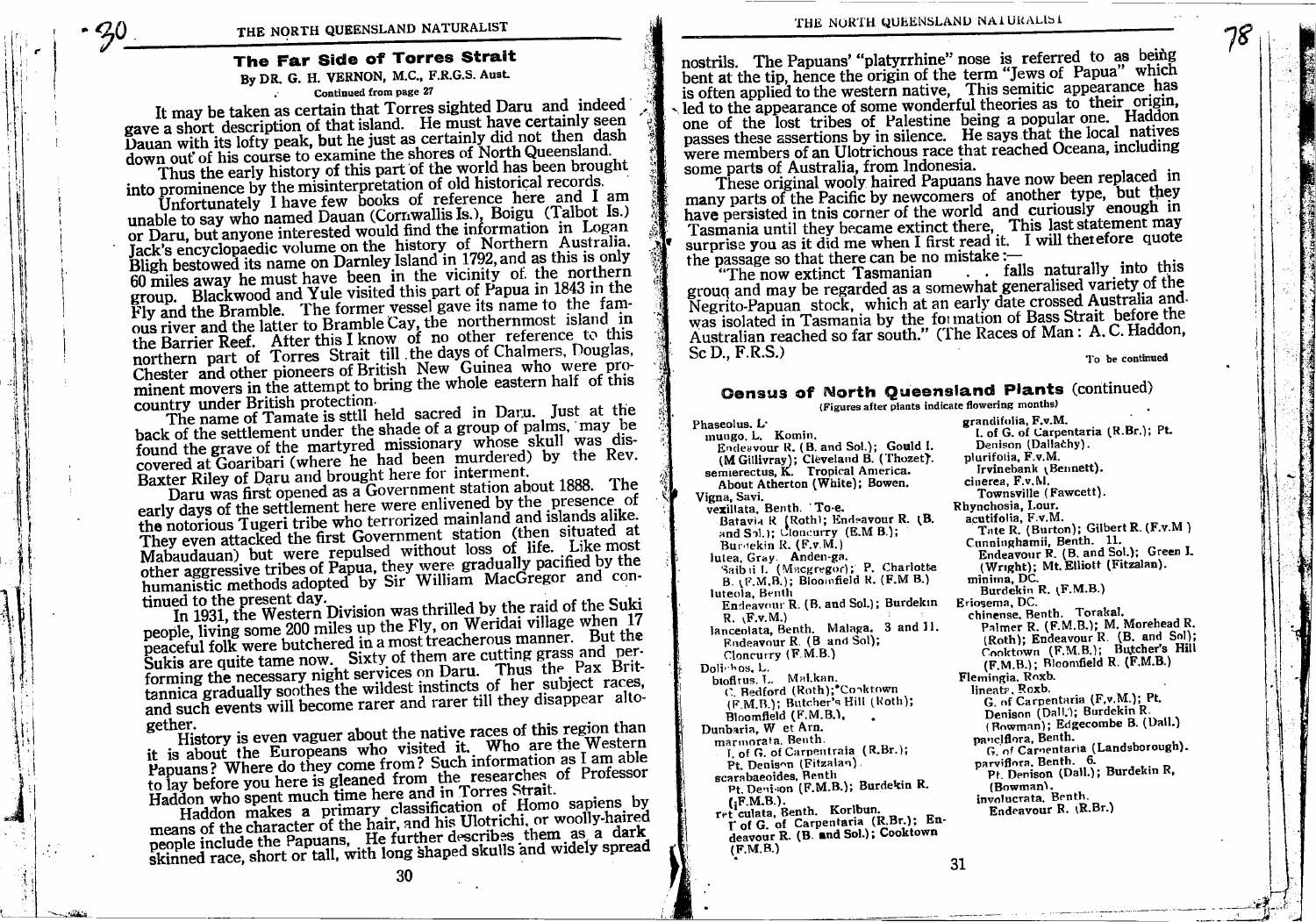### The Far Side of Torres Strait

#### By DR. G. H. VERNON, M.C., F.R.G.S. Aust. Continued from page 27

It may be taken as certain that Torres sighted Daru and indeed gave a short description of that island. He must have certainly seen Dauan with its lofty peak, but he just as certainly did not then dash down out of his course to examine the shores of North Queensland.

Thus the early history of this part of the world has been brought into prominence by the misinterpretation of old historical records.

Unfortunately I have few books of reference here and I am unable to say who named Dauan (Cornwallis Is.), Boigu (Talbot Is.) or Daru, but anyone interested would find the information in Logan Jack's encyclopaedic volume on the history of Northern Australia. Bligh bestowed its name on Darnley Island in 1792, and as this is only 60 miles away he must have been in the vicinity of the northern group. Blackwood and Yule visited this part of Papua in 1843 in the Fly and the Bramble. The former vessel gave its name to the famous river and the latter to Bramble Cay, the northernmost island in the Barrier Reef. After this I know of no other reference to this northern part of Torres Strait till the days of Chalmers, Douglas, Chester and other pioneers of British New Guinea who were prominent movers in the attempt to bring the whole eastern half of this country under British protection.

The name of Tamate is still held sacred in Daru. Just at the back of the settlement under the shade of a group of palms, may be found the grave of the martyred missionary whose skull was discovered at Goaribari (where he had been murdered) by the Rev. Baxter Riley of Daru and brought here for interment.

Daru was first opened as a Government station about 1888. The early days of the settlement here were enlivened by the presence of the notorious Tugeri tribe who terrorized mainland and islands alike. They even attacked the first Government station (then situated at Mabaudauan) but were repulsed without loss of life. Like most other aggressive tribes of Papua, they were gradually pacified by the humanistic methods adopted by Sir William MacGregor and continued to the present day.

In 1931, the Western Division was thrilled by the raid of the Suki people, living some 200 miles up the Fly, on Weridai village when 17 peaceful folk were butchered in a most treacherous manner. But the Sukis are quite tame now. Sixty of them are cutting grass and performing the necessary night services on Daru. Thus the Pax Brittannica gradually soothes the wildest instincts of her subject races, and such events will become rarer and rarer till they disappear altogether.

History is even vaguer about the native races of this region than it is about the Europeans who visited it. Who are the Western Papuans? Where do they come from? Such information as I am able to lay before you here is gleaned from the researches of Professor Haddon who spent much time here and in Torres Strait.

Haddon makes a primary classification of Homo sapiens by means of the character of the hair, and his Ulotrichi, or woolly-haired people include the Papuans, He further describes them as a dark skinned race, short or tall, with long shaped skulls and widely spread

30

THE NORTH QUEENSLAND NATURALIST

nostrils. The Papuans' "platyrrhine" nose is referred to as being bent at the tip, hence the origin of the term "Jews of Papua" which is often applied to the western native, This semitic appearance has led to the appearance of some wonderful theories as to their origin, one of the lost tribes of Palestine being a popular one. Haddon passes these assertions by in silence. He says that the local natives were members of an Ulotrichous race that reached Oceana, including some parts of Australia. from Indonesia.

These original wooly haired Papuans have now been replaced in many parts of the Pacific by newcomers of another type, but they have persisted in this corner of the world and curiously enough in Tasmania until they became extinct there, This last statement may<br>surprise you as it did me when I first read it. I will therefore quote the passage so that there can be no mistake :-

. . falls naturally into this "The now extinct Tasmanian grouq and may be regarded as a somewhat generalised variety of the Negrito-Papuan stock, which at an early date crossed Australia and was isolated in Tasmania by the formation of Bass Strait before the Australian reached so far south." (The Races of Man: A.C. Haddon, Sc D., F.R.S.)

To be continued

### Census of North Queensland Plants (continued)

(Figures after plants indicate flowering months)

Phaseolus, L. mungo. L. Komin. Endeavour R. (B. and Sol.); Gould I. (M Gillivray); Cleveland B. (Thozet). semierectus, K. Tropical America. About Atherton (White); Bowen. Vigna, Savi. vexillata, Benth. To-e. Batavia R (Roth); Endeavour R. (B. and  $S_2$ .); Cloucurry (E.M B.); Burdekin R. (F.v.M.) lutea, Gray. Anden-ga.<br>Saib il I. (Macgregor); P. Charlotte B. (F.M.B.); Bloomfield R. (F.M B.) luteola, Benth Endeavour R. (B. and Sol.); Burdekin  $R. \Gamma.v.M.$ lanceolata, Benth. Malaga. 3 and 11. Endeavour R. (B and Sol);  $Chnerry$  ( $F.M.B.$ ) Dolichos, L. biofitus. L. Mal.kan. C. Bedford (Roth);\*Cooktown (F.M.B.); Butcher's Hill (Roth); Bloomfield (F.M.B.), Dunbaria. W et Arn. marmorata. Benth. I. of G. of Carpentraia (R.Br.); Pt. Denison (Fitzalan). scarabaeoides, Benth Pt. Denison (F.M.B.); Burdekin R.  $(F.M.B.)$ . ret culata, Benth. Korlbun. I' of G. of Carpentaria (R.Br.); Endeavour R. (B. and Sol.); Cooktown

 $(F.M.B.)$ 

grandifolia, F.v.M. I. of G. of Carpentaria (R.Br.); Pt. Denison (Dallachy). plurifolia, F.v.M. Irvinebank (Bennett). cinerea, F.v.M. Townsville (Fawcett). Rhynchosia, Lour. acutifolia. F.v.M. Tate R. (Burton); Gilbert R. (F.v.M) Cunninghamii, Benth. 11. Endeavour R. (B. and Sol.); Green I. (Wright); Mt. Elliott (Fitzalan). minima, DC. Burdekin R. (F.M.B.) Eriosema, DC. chinense, Benth. Torakal. Palmer R. (F.M.B.); M. Morehead R. (Roth); Endeavour R. (B. and Sol); Cooktown (F.M.B.); Butcher's Hill (F.M.B.); Bloomfield R. (F.M.B.) Flemingia. Roxb. lineatz, Roxb. G. of Carpentaria (F,v,M.); Pt. Denison (Dall.); Burdekin R (Bowman); Edgecombe B. (Dall.) panclflora, Benth. G. of Caroentaria (Landsborough). parviflora, Benth. 6. Pt. Denison (Dall.); Burdekin R, (Bowman). involucrata. Benth. Endeavour R. (R.Br.)

31